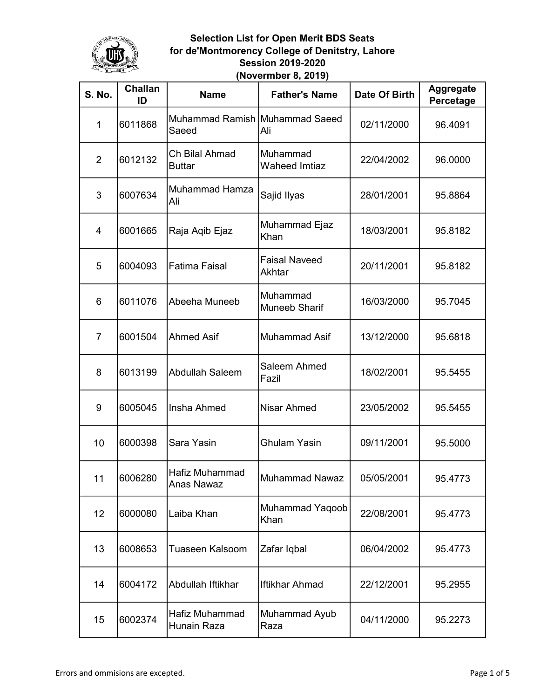

| <b>S. No.</b>  | <b>Challan</b><br>ID | <b>Name</b>                             | <b>Father's Name</b>             | Date Of Birth | <b>Aggregate</b><br>Percetage |
|----------------|----------------------|-----------------------------------------|----------------------------------|---------------|-------------------------------|
| $\mathbf{1}$   | 6011868              | Muhammad Ramish Muhammad Saeed<br>Saeed | Ali                              | 02/11/2000    | 96.4091                       |
| 2              | 6012132              | Ch Bilal Ahmad<br><b>Buttar</b>         | Muhammad<br><b>Waheed Imtiaz</b> | 22/04/2002    | 96.0000                       |
| 3              | 6007634              | Muhammad Hamza<br>Ali                   | Sajid Ilyas                      | 28/01/2001    | 95.8864                       |
| 4              | 6001665              | Raja Aqib Ejaz                          | Muhammad Ejaz<br>Khan            | 18/03/2001    | 95.8182                       |
| 5              | 6004093              | <b>Fatima Faisal</b>                    | <b>Faisal Naveed</b><br>Akhtar   | 20/11/2001    | 95.8182                       |
| 6              | 6011076              | Abeeha Muneeb                           | Muhammad<br><b>Muneeb Sharif</b> | 16/03/2000    | 95.7045                       |
| $\overline{7}$ | 6001504              | <b>Ahmed Asif</b>                       | <b>Muhammad Asif</b>             | 13/12/2000    | 95.6818                       |
| 8              | 6013199              | <b>Abdullah Saleem</b>                  | Saleem Ahmed<br>Fazil            | 18/02/2001    | 95.5455                       |
| 9              | 6005045              | Insha Ahmed                             | <b>Nisar Ahmed</b>               | 23/05/2002    | 95.5455                       |
| 10             | 6000398              | Sara Yasin                              | <b>Ghulam Yasin</b>              | 09/11/2001    | 95.5000                       |
| 11             | 6006280              | Hafiz Muhammad<br><b>Anas Nawaz</b>     | Muhammad Nawaz                   | 05/05/2001    | 95.4773                       |
| 12             | 6000080              | Laiba Khan                              | Muhammad Yaqoob<br>Khan          | 22/08/2001    | 95.4773                       |
| 13             | 6008653              | <b>Tuaseen Kalsoom</b>                  | Zafar Iqbal                      | 06/04/2002    | 95.4773                       |
| 14             | 6004172              | Abdullah Iftikhar                       | Iftikhar Ahmad                   | 22/12/2001    | 95.2955                       |
| 15             | 6002374              | Hafiz Muhammad<br>Hunain Raza           | Muhammad Ayub<br>Raza            | 04/11/2000    | 95.2273                       |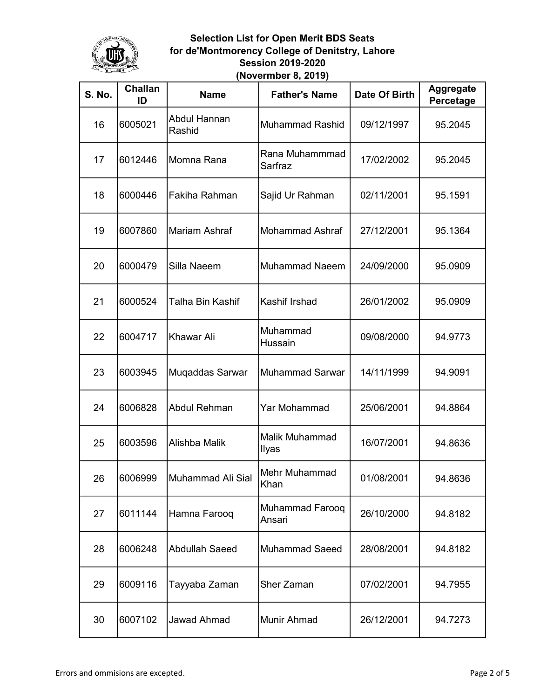

| <b>S. No.</b> | <b>Challan</b><br>ID | <b>Name</b>            | <b>Father's Name</b>      | Date Of Birth | <b>Aggregate</b><br>Percetage |
|---------------|----------------------|------------------------|---------------------------|---------------|-------------------------------|
| 16            | 6005021              | Abdul Hannan<br>Rashid | Muhammad Rashid           | 09/12/1997    | 95.2045                       |
| 17            | 6012446              | Momna Rana             | Rana Muhammmad<br>Sarfraz | 17/02/2002    | 95.2045                       |
| 18            | 6000446              | Fakiha Rahman          | Sajid Ur Rahman           | 02/11/2001    | 95.1591                       |
| 19            | 6007860              | Mariam Ashraf          | Mohammad Ashraf           | 27/12/2001    | 95.1364                       |
| 20            | 6000479              | Silla Naeem            | Muhammad Naeem            | 24/09/2000    | 95.0909                       |
| 21            | 6000524              | Talha Bin Kashif       | Kashif Irshad             | 26/01/2002    | 95.0909                       |
| 22            | 6004717              | Khawar Ali             | Muhammad<br>Hussain       | 09/08/2000    | 94.9773                       |
| 23            | 6003945              | Muqaddas Sarwar        | Muhammad Sarwar           | 14/11/1999    | 94.9091                       |
| 24            | 6006828              | <b>Abdul Rehman</b>    | Yar Mohammad              | 25/06/2001    | 94.8864                       |
| 25            | 6003596              | Alishba Malik          | Malik Muhammad<br>Ilyas   | 16/07/2001    | 94.8636                       |
| 26            | 6006999              | Muhammad Ali Sial      | Mehr Muhammad<br>Khan     | 01/08/2001    | 94.8636                       |
| 27            | 6011144              | Hamna Farooq           | Muhammad Farooq<br>Ansari | 26/10/2000    | 94.8182                       |
| 28            | 6006248              | <b>Abdullah Saeed</b>  | Muhammad Saeed            | 28/08/2001    | 94.8182                       |
| 29            | 6009116              | Tayyaba Zaman          | Sher Zaman                | 07/02/2001    | 94.7955                       |
| 30            | 6007102              | <b>Jawad Ahmad</b>     | Munir Ahmad               | 26/12/2001    | 94.7273                       |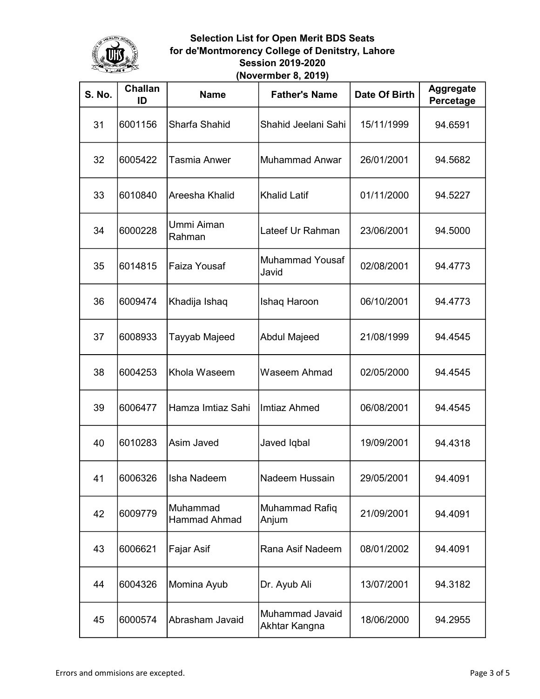

| <b>S. No.</b> | <b>Challan</b><br>ID | <b>Name</b>                     | <b>Father's Name</b>             | Date Of Birth | <b>Aggregate</b><br>Percetage |
|---------------|----------------------|---------------------------------|----------------------------------|---------------|-------------------------------|
| 31            | 6001156              | Sharfa Shahid                   | Shahid Jeelani Sahi              | 15/11/1999    | 94.6591                       |
| 32            | 6005422              | Tasmia Anwer                    | <b>Muhammad Anwar</b>            | 26/01/2001    | 94.5682                       |
| 33            | 6010840              | Areesha Khalid                  | <b>Khalid Latif</b>              | 01/11/2000    | 94.5227                       |
| 34            | 6000228              | Ummi Aiman<br>Rahman            | Lateef Ur Rahman                 | 23/06/2001    | 94.5000                       |
| 35            | 6014815              | Faiza Yousaf                    | <b>Muhammad Yousaf</b><br>Javid  | 02/08/2001    | 94.4773                       |
| 36            | 6009474              | Khadija Ishaq                   | Ishaq Haroon                     | 06/10/2001    | 94.4773                       |
| 37            | 6008933              | Tayyab Majeed                   | <b>Abdul Majeed</b>              | 21/08/1999    | 94.4545                       |
| 38            | 6004253              | Khola Waseem                    | Waseem Ahmad                     | 02/05/2000    | 94.4545                       |
| 39            | 6006477              | Hamza Imtiaz Sahi               | <b>Imtiaz Ahmed</b>              | 06/08/2001    | 94.4545                       |
| 40            | 6010283              | Asim Javed                      | Javed Iqbal                      | 19/09/2001    | 94.4318                       |
| 41            | 6006326              | Isha Nadeem                     | lNadeem Hussain                  | 29/05/2001    | 94.4091                       |
| 42            | 6009779              | Muhammad<br><b>Hammad Ahmad</b> | Muhammad Rafiq<br>Anjum          | 21/09/2001    | 94.4091                       |
| 43            | 6006621              | Fajar Asif                      | Rana Asif Nadeem                 | 08/01/2002    | 94.4091                       |
| 44            | 6004326              | Momina Ayub                     | Dr. Ayub Ali                     | 13/07/2001    | 94.3182                       |
| 45            | 6000574              | Abrasham Javaid                 | Muhammad Javaid<br>Akhtar Kangna | 18/06/2000    | 94.2955                       |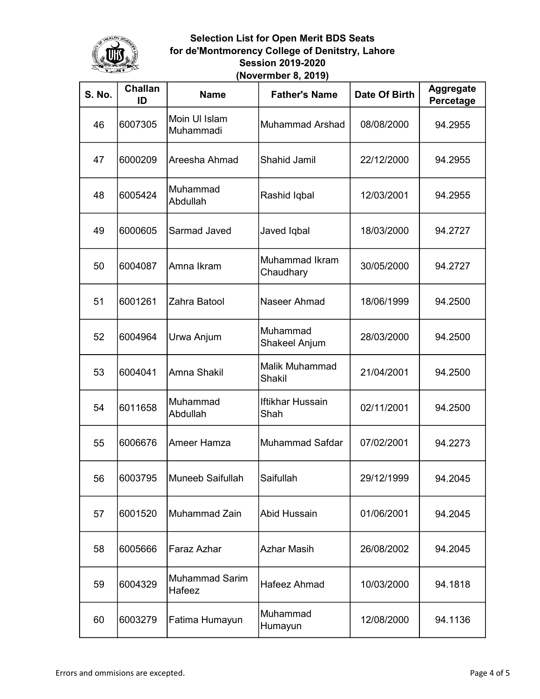

| <b>S. No.</b> | <b>Challan</b><br>ID | <b>Name</b>                     | <b>Father's Name</b>            | <b>Date Of Birth</b> | <b>Aggregate</b><br>Percetage |
|---------------|----------------------|---------------------------------|---------------------------------|----------------------|-------------------------------|
| 46            | 6007305              | Moin UI Islam<br>Muhammadi      | Muhammad Arshad                 | 08/08/2000           | 94.2955                       |
| 47            | 6000209              | Areesha Ahmad                   | <b>Shahid Jamil</b>             | 22/12/2000           | 94.2955                       |
| 48            | 6005424              | Muhammad<br>Abdullah            | Rashid Iqbal                    | 12/03/2001           | 94.2955                       |
| 49            | 6000605              | Sarmad Javed                    | Javed Iqbal                     | 18/03/2000           | 94.2727                       |
| 50            | 6004087              | Amna Ikram                      | Muhammad Ikram<br>Chaudhary     | 30/05/2000           | 94.2727                       |
| 51            | 6001261              | Zahra Batool                    | Naseer Ahmad                    | 18/06/1999           | 94.2500                       |
| 52            | 6004964              | Urwa Anjum                      | Muhammad<br>Shakeel Anjum       | 28/03/2000           | 94.2500                       |
| 53            | 6004041              | Amna Shakil                     | <b>Malik Muhammad</b><br>Shakil | 21/04/2001           | 94.2500                       |
| 54            | 6011658              | Muhammad<br>Abdullah            | <b>Iftikhar Hussain</b><br>Shah | 02/11/2001           | 94.2500                       |
| 55            | 6006676              | Ameer Hamza                     | Muhammad Safdar                 | 07/02/2001           | 94.2273                       |
| 56            | 6003795              | Muneeb Saifullah                | İSaifullah                      | 29/12/1999           | 94.2045                       |
| 57            | 6001520              | Muhammad Zain                   | Abid Hussain                    | 01/06/2001           | 94.2045                       |
| 58            | 6005666              | Faraz Azhar                     | <b>Azhar Masih</b>              | 26/08/2002           | 94.2045                       |
| 59            | 6004329              | <b>Muhammad Sarim</b><br>Hafeez | Hafeez Ahmad                    | 10/03/2000           | 94.1818                       |
| 60            | 6003279              | Fatima Humayun                  | Muhammad<br>Humayun             | 12/08/2000           | 94.1136                       |